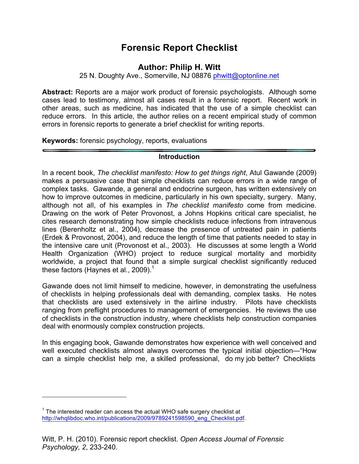# **Forensic Report Checklist**

## **Author: Philip H. Witt**

25 N. Doughty Ave., Somerville, NJ 08876 phwitt@optonline.net

**Abstract:** Reports are a major work product of forensic psychologists. Although some cases lead to testimony, almost all cases result in a forensic report. Recent work in other areas, such as medicine, has indicated that the use of a simple checklist can reduce errors. In this article, the author relies on a recent empirical study of common errors in forensic reports to generate a brief checklist for writing reports.

**Keywords:** forensic psychology, reports, evaluations

## **Introduction**

In a recent book, *The checklist manifesto: How to get things right*, Atul Gawande (2009) makes a persuasive case that simple checklists can reduce errors in a wide range of complex tasks. Gawande, a general and endocrine surgeon, has written extensively on how to improve outcomes in medicine, particularly in his own specialty, surgery. Many, although not all, of his examples in *The checklist manifesto* come from medicine. Drawing on the work of Peter Provonost, a Johns Hopkins critical care specialist, he cites research demonstrating how simple checklists reduce infections from intravenous lines (Berenholtz et al., 2004), decrease the presence of untreated pain in patients (Erdek & Provonost, 2004), and reduce the length of time that patients needed to stay in the intensive care unit (Provonost et al., 2003). He discusses at some length a World Health Organization (WHO) project to reduce surgical mortality and morbidity worldwide, a project that found that a simple surgical checklist significantly reduced these factors (Haynes et al., 2009).<sup>1</sup>

Gawande does not limit himself to medicine, however, in demonstrating the usefulness of checklists in helping professionals deal with demanding, complex tasks. He notes that checklists are used extensively in the airline industry. Pilots have checklists ranging from preflight procedures to management of emergencies. He reviews the use of checklists in the construction industry, where checklists help construction companies deal with enormously complex construction projects.

In this engaging book, Gawande demonstrates how experience with well conceived and well executed checklists almost always overcomes the typical initial objection—"How can a simple checklist help me, a skilled professional, do my job better? Checklists

 $\overline{a}$ 

 $1$  The interested reader can access the actual WHO safe surgery checklist at http://whqlibdoc.who.int/publications/2009/9789241598590\_eng\_Checklist.pdf.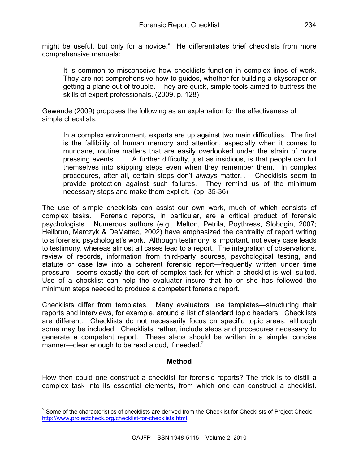might be useful, but only for a novice." He differentiates brief checklists from more comprehensive manuals:

It is common to misconceive how checklists function in complex lines of work. They are not comprehensive how-to guides, whether for building a skyscraper or getting a plane out of trouble. They are quick, simple tools aimed to buttress the skills of expert professionals. (2009, p. 128)

Gawande (2009) proposes the following as an explanation for the effectiveness of simple checklists:

In a complex environment, experts are up against two main difficulties. The first is the fallibility of human memory and attention, especially when it comes to mundane, routine matters that are easily overlooked under the strain of more pressing events. . . . A further difficulty, just as insidious, is that people can lull themselves into skipping steps even when they remember them. In complex procedures, after all, certain steps don't *always* matter. . . Checklists seem to provide protection against such failures. They remind us of the minimum necessary steps and make them explicit. (pp. 35-36)

The use of simple checklists can assist our own work, much of which consists of complex tasks. Forensic reports, in particular, are a critical product of forensic psychologists. Numerous authors (e.g., Melton, Petrila, Poythress, Slobogin, 2007; Heilbrun, Marczyk & DeMatteo, 2002) have emphasized the centrality of report writing to a forensic psychologist's work. Although testimony is important, not every case leads to testimony, whereas almost all cases lead to a report. The integration of observations, review of records, information from third-party sources, psychological testing, and statute or case law into a coherent forensic report—frequently written under time pressure—seems exactly the sort of complex task for which a checklist is well suited. Use of a checklist can help the evaluator insure that he or she has followed the minimum steps needed to produce a competent forensic report.

Checklists differ from templates. Many evaluators use templates—structuring their reports and interviews, for example, around a list of standard topic headers. Checklists are different. Checklists do not necessarily focus on specific topic areas, although some may be included. Checklists, rather, include steps and procedures necessary to generate a competent report. These steps should be written in a simple, concise manner—clear enough to be read aloud, if needed. $2^2$ 

## **Method**

How then could one construct a checklist for forensic reports? The trick is to distill a complex task into its essential elements, from which one can construct a checklist.

 $\overline{a}$ 

 $2$  Some of the characteristics of checklists are derived from the Checklist for Checklists of Project Check: http://www.projectcheck.org/checklist-for-checklists.html.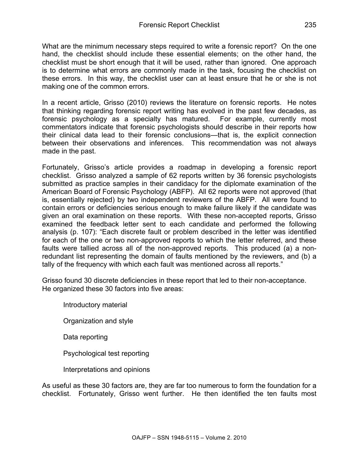What are the minimum necessary steps required to write a forensic report? On the one hand, the checklist should include these essential elements; on the other hand, the checklist must be short enough that it will be used, rather than ignored. One approach is to determine what errors are commonly made in the task, focusing the checklist on these errors. In this way, the checklist user can at least ensure that he or she is not making one of the common errors.

In a recent article, Grisso (2010) reviews the literature on forensic reports. He notes that thinking regarding forensic report writing has evolved in the past few decades, as forensic psychology as a specialty has matured. For example, currently most commentators indicate that forensic psychologists should describe in their reports how their clinical data lead to their forensic conclusions—that is, the explicit connection between their observations and inferences. This recommendation was not always made in the past.

Fortunately, Grisso's article provides a roadmap in developing a forensic report checklist. Grisso analyzed a sample of 62 reports written by 36 forensic psychologists submitted as practice samples in their candidacy for the diplomate examination of the American Board of Forensic Psychology (ABFP). All 62 reports were not approved (that is, essentially rejected) by two independent reviewers of the ABFP. All were found to contain errors or deficiencies serious enough to make failure likely if the candidate was given an oral examination on these reports. With these non-accepted reports, Grisso examined the feedback letter sent to each candidate and performed the following analysis (p. 107): "Each discrete fault or problem described in the letter was identified for each of the one or two non-approved reports to which the letter referred, and these faults were tallied across all of the non-approved reports. This produced (a) a nonredundant list representing the domain of faults mentioned by the reviewers, and (b) a tally of the frequency with which each fault was mentioned across all reports."

Grisso found 30 discrete deficiencies in these report that led to their non-acceptance. He organized these 30 factors into five areas:

Introductory material Organization and style Data reporting Psychological test reporting Interpretations and opinions

As useful as these 30 factors are, they are far too numerous to form the foundation for a checklist. Fortunately, Grisso went further. He then identified the ten faults most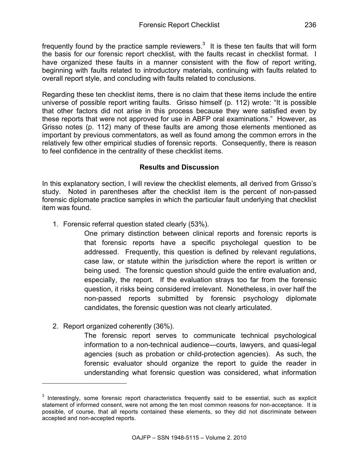frequently found by the practice sample reviewers.<sup>3</sup> It is these ten faults that will form the basis for our forensic report checklist, with the faults recast in checklist format. I have organized these faults in a manner consistent with the flow of report writing, beginning with faults related to introductory materials, continuing with faults related to overall report style, and concluding with faults related to conclusions.

Regarding these ten checklist items, there is no claim that these items include the entire universe of possible report writing faults. Grisso himself (p. 112) wrote: "It is possible that other factors did not arise in this process because they were satisfied even by these reports that were not approved for use in ABFP oral examinations." However, as Grisso notes (p. 112) many of these faults are among those elements mentioned as important by previous commentators, as well as found among the common errors in the relatively few other empirical studies of forensic reports. Consequently, there is reason to feel confidence in the centrality of these checklist items.

## **Results and Discussion**

In this explanatory section, I will review the checklist elements, all derived from Grisso's study. Noted in parentheses after the checklist item is the percent of non-passed forensic diplomate practice samples in which the particular fault underlying that checklist item was found.

1. Forensic referral question stated clearly (53%).

One primary distinction between clinical reports and forensic reports is that forensic reports have a specific psycholegal question to be addressed. Frequently, this question is defined by relevant regulations, case law, or statute within the jurisdiction where the report is written or being used. The forensic question should guide the entire evaluation and, especially, the report. If the evaluation strays too far from the forensic question, it risks being considered irrelevant. Nonetheless, in over half the non-passed reports submitted by forensic psychology diplomate candidates, the forensic question was not clearly articulated.

2. Report organized coherently (36%).

l

The forensic report serves to communicate technical psychological information to a non-technical audience—courts, lawyers, and quasi-legal agencies (such as probation or child-protection agencies). As such, the forensic evaluator should organize the report to guide the reader in understanding what forensic question was considered, what information

<sup>&</sup>lt;sup>3</sup> Interestingly, some forensic report characteristics frequently said to be essential, such as explicit statement of informed consent, were not among the ten most common reasons for non-acceptance. It is possible, of course, that all reports contained these elements, so they did not discriminate between accepted and non-accepted reports.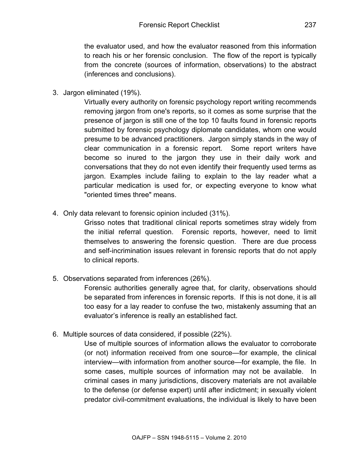the evaluator used, and how the evaluator reasoned from this information to reach his or her forensic conclusion. The flow of the report is typically from the concrete (sources of information, observations) to the abstract (inferences and conclusions).

3. Jargon eliminated (19%).

Virtually every authority on forensic psychology report writing recommends removing jargon from one's reports, so it comes as some surprise that the presence of jargon is still one of the top 10 faults found in forensic reports submitted by forensic psychology diplomate candidates, whom one would presume to be advanced practitioners. Jargon simply stands in the way of clear communication in a forensic report. Some report writers have become so inured to the jargon they use in their daily work and conversations that they do not even identify their frequently used terms as jargon. Examples include failing to explain to the lay reader what a particular medication is used for, or expecting everyone to know what "oriented times three" means.

4. Only data relevant to forensic opinion included (31%).

Grisso notes that traditional clinical reports sometimes stray widely from the initial referral question. Forensic reports, however, need to limit themselves to answering the forensic question. There are due process and self-incrimination issues relevant in forensic reports that do not apply to clinical reports.

5. Observations separated from inferences (26%).

Forensic authorities generally agree that, for clarity, observations should be separated from inferences in forensic reports. If this is not done, it is all too easy for a lay reader to confuse the two, mistakenly assuming that an evaluator's inference is really an established fact.

6. Multiple sources of data considered, if possible (22%).

Use of multiple sources of information allows the evaluator to corroborate (or not) information received from one source—for example, the clinical interview—with information from another source—for example, the file. In some cases, multiple sources of information may not be available. In criminal cases in many jurisdictions, discovery materials are not available to the defense (or defense expert) until after indictment; in sexually violent predator civil-commitment evaluations, the individual is likely to have been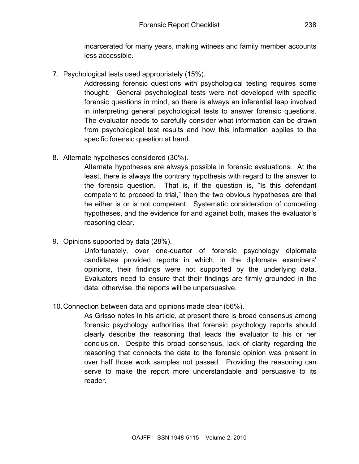incarcerated for many years, making witness and family member accounts less accessible.

7. Psychological tests used appropriately (15%).

Addressing forensic questions with psychological testing requires some thought. General psychological tests were not developed with specific forensic questions in mind, so there is always an inferential leap involved in interpreting general psychological tests to answer forensic questions. The evaluator needs to carefully consider what information can be drawn from psychological test results and how this information applies to the specific forensic question at hand.

8. Alternate hypotheses considered (30%).

Alternate hypotheses are always possible in forensic evaluations. At the least, there is always the contrary hypothesis with regard to the answer to the forensic question. That is, if the question is, "Is this defendant competent to proceed to trial," then the two obvious hypotheses are that he either is or is not competent. Systematic consideration of competing hypotheses, and the evidence for and against both, makes the evaluator's reasoning clear.

9. Opinions supported by data (28%).

Unfortunately, over one-quarter of forensic psychology diplomate candidates provided reports in which, in the diplomate examiners' opinions, their findings were not supported by the underlying data. Evaluators need to ensure that their findings are firmly grounded in the data; otherwise, the reports will be unpersuasive.

10.Connection between data and opinions made clear (56%).

As Grisso notes in his article, at present there is broad consensus among forensic psychology authorities that forensic psychology reports should clearly describe the reasoning that leads the evaluator to his or her conclusion. Despite this broad consensus, lack of clarity regarding the reasoning that connects the data to the forensic opinion was present in over half those work samples not passed. Providing the reasoning can serve to make the report more understandable and persuasive to its reader.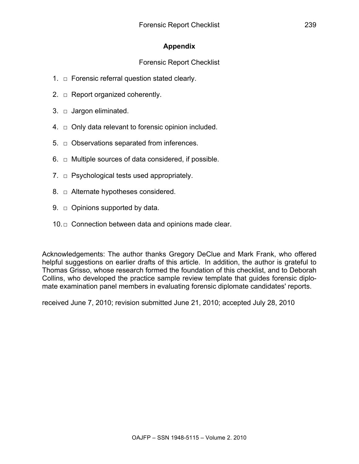# **Appendix**

# Forensic Report Checklist

- 1.  $\Box$  Forensic referral question stated clearly.
- 2.  $\Box$  Report organized coherently.
- 3.  $\Box$  Jargon eliminated.
- $4. \Box$  Only data relevant to forensic opinion included.
- $5.$   $\Box$  Observations separated from inferences.
- 6.  $\Box$  Multiple sources of data considered, if possible.
- 7.  $\Box$  Psychological tests used appropriately.
- 8.  $\Box$  Alternate hypotheses considered.
- 9.  $\Box$  Opinions supported by data.
- 10.□ Connection between data and opinions made clear.

Acknowledgements: The author thanks Gregory DeClue and Mark Frank, who offered helpful suggestions on earlier drafts of this article. In addition, the author is grateful to Thomas Grisso, whose research formed the foundation of this checklist, and to Deborah Collins, who developed the practice sample review template that guides forensic diplomate examination panel members in evaluating forensic diplomate candidates' reports.

received June 7, 2010; revision submitted June 21, 2010; accepted July 28, 2010